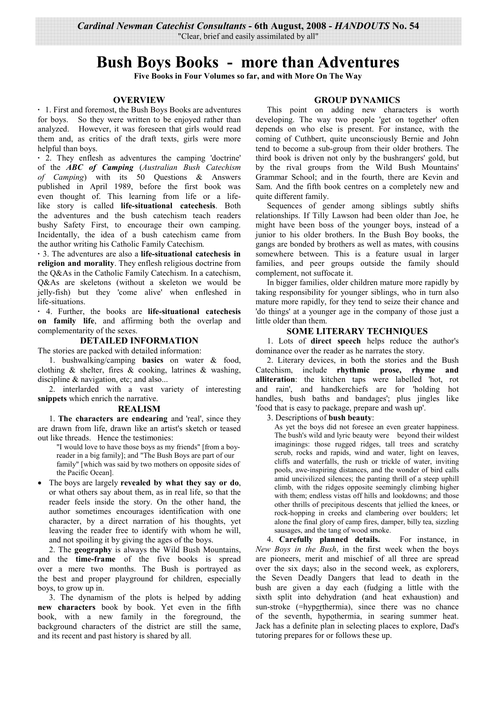"Clear, brief and easily assimilated by all"

# **Bush Boys Books - more than Adventures**

Five Books in Four Volumes so far, and with More On The Way

## **OVERVIEW**

• 1. First and foremost, the Bush Boys Books are adventures for boys. So they were written to be enjoyed rather than analyzed. However, it was foreseen that girls would read them and, as critics of the draft texts, girls were more helpful than boys.

· 2. They enflesh as adventures the camping 'doctrine' of the ABC of Camping (Australian Bush Catechism of Camping) with its 50 Questions & Answers published in April 1989, before the first book was even thought of. This learning from life or a lifelike story is called life-situational catechesis. Both the adventures and the bush catechism teach readers bushy Safety First, to encourage their own camping. Incidentally, the idea of a bush catechism came from the author writing his Catholic Family Catechism.

· 3. The adventures are also a life-situational catechesis in **religion and morality.** They enflesh religious doctrine from the Q&As in the Catholic Family Catechism. In a catechism, Q&As are skeletons (without a skeleton we would be jelly-fish) but they 'come alive' when enfleshed in life-situations.

. 4. Further, the books are life-situational catechesis on family life, and affirming both the overlap and complementarity of the sexes.

## **DETAILED INFORMATION**

The stories are packed with detailed information:

1. bushwalking/camping basics on water & food, clothing  $\&$  shelter, fires  $\&$  cooking, latrines  $\&$  washing, discipline  $\&$  navigation, etc; and also...

2. interlarded with a vast variety of interesting snippets which enrich the narrative.

#### **REALISM**

1. The characters are endearing and 'real', since they are drawn from life, drawn like an artist's sketch or teased out like threads. Hence the testimonies:

- "I would love to have those boys as my friends" [from a boyreader in a big family]; and "The Bush Boys are part of our family" [which was said by two mothers on opposite sides of the Pacific Oceanl.
- The boys are largely revealed by what they say or do, or what others say about them, as in real life, so that the reader feels inside the story. On the other hand, the author sometimes encourages identification with one character, by a direct narration of his thoughts, yet leaving the reader free to identify with whom he will, and not spoiling it by giving the ages of the boys.

2. The **geography** is always the Wild Bush Mountains, and the **time-frame** of the five books is spread over a mere two months. The Bush is portrayed as the best and proper playground for children, especially boys, to grow up in.

3. The dynamism of the plots is helped by adding new characters book by book. Yet even in the fifth book, with a new family in the foreground, the background characters of the district are still the same, and its recent and past history is shared by all.

## **GROUP DYNAMICS**

This point on adding new characters is worth developing. The way two people 'get on together' often depends on who else is present. For instance, with the coming of Cuthbert, quite unconsciously Bernie and John tend to become a sub-group from their older brothers. The third book is driven not only by the bushrangers' gold, but by the rival groups from the Wild Bush Mountains' Grammar School; and in the fourth, there are Kevin and Sam. And the fifth book centres on a completely new and quite different family.

Sequences of gender among siblings subtly shifts relationships. If Tilly Lawson had been older than Joe, he might have been boss of the younger boys, instead of a junior to his older brothers. In the Bush Boy books, the gangs are bonded by brothers as well as mates, with cousins somewhere between. This is a feature usual in larger families, and peer groups outside the family should complement, not suffocate it.

In bigger families, older children mature more rapidly by taking responsibility for younger siblings, who in turn also mature more rapidly, for they tend to seize their chance and 'do things' at a younger age in the company of those just a little older than them.

## **SOME LITERARY TECHNIQUES**

1. Lots of direct speech helps reduce the author's dominance over the reader as he narrates the story.

2. Literary devices, in both the stories and the Bush Catechism, include rhythmic prose, rhyme and alliteration: the kitchen taps were labelled 'hot, rot and rain', and handkerchiefs are for 'holding hot handles, bush baths and bandages'; plus jingles like 'food that is easy to package, prepare and wash up'.

## 3. Descriptions of bush beauty:

As yet the boys did not foresee an even greater happiness. The bush's wild and lyric beauty were beyond their wildest imaginings: those rugged ridges, tall trees and scratchy scrub, rocks and rapids, wind and water, light on leaves, cliffs and waterfalls, the rush or trickle of water, inviting pools, awe-inspiring distances, and the wonder of bird calls amid uncivilized silences; the panting thrill of a steep uphill climb, with the ridges opposite seemingly climbing higher with them; endless vistas off hills and lookdowns; and those other thrills of precipitous descents that jellied the knees, or rock-hopping in creeks and clambering over boulders; let alone the final glory of camp fires, damper, billy tea, sizzling sausages, and the tang of wood smoke.

4. Carefully planned details. For instance, in New Boys in the Bush, in the first week when the boys are pioneers, merit and mischief of all three are spread over the six days; also in the second week, as explorers, the Seven Deadly Dangers that lead to death in the bush are given a day each (fudging a little with the sixth split into dehydration (and heat exhaustion) and sun-stroke (=hyperthermia), since there was no chance of the seventh, hypothermia, in searing summer heat. Jack has a definite plan in selecting places to explore, Dad's tutoring prepares for or follows these up.